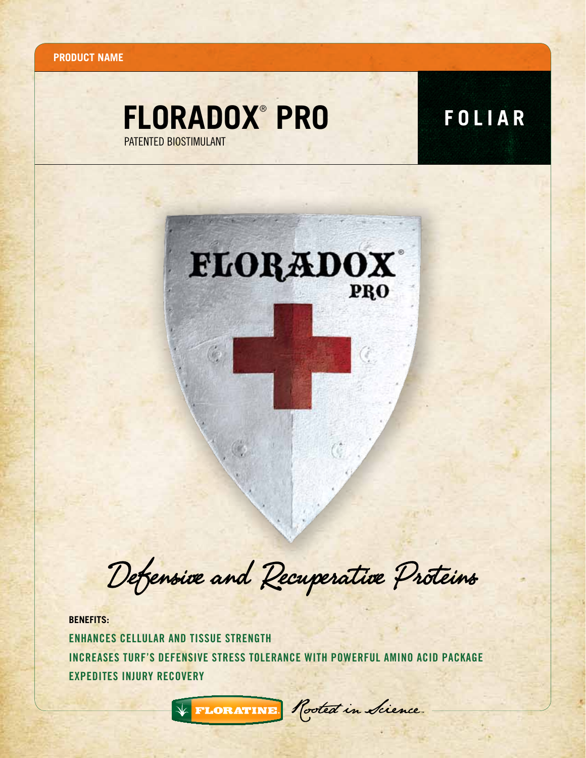**Product name**

## **floradox FOLIAR** ® **pro** PATENTED BIOSTIMULANT



Defensive and Recuperative Proteins

**BENEFITS:** Enhances cellular and tissue strength Increases turf's defensive stress tolerance with powerful amino acid package Expedites injury recovery